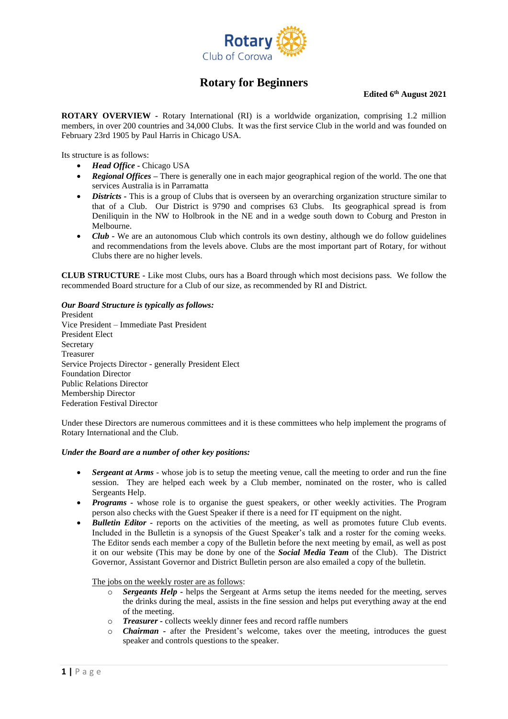

## **Rotary for Beginners**

**Edited 6 th August 2021**

**ROTARY OVERVIEW -** Rotary International (RI) is a worldwide organization, comprising 1.2 million members, in over 200 countries and 34,000 Clubs. It was the first service Club in the world and was founded on February 23rd 1905 by Paul Harris in Chicago USA.

Its structure is as follows:

- *Head Office* **-** Chicago USA
- *Regional Offices* There is generally one in each major geographical region of the world. The one that services Australia is in Parramatta
- *Districts* **-** This is a group of Clubs that is overseen by an overarching organization structure similar to that of a Club. Our District is 9790 and comprises 63 Clubs. Its geographical spread is from Deniliquin in the NW to Holbrook in the NE and in a wedge south down to Coburg and Preston in Melbourne.
- *Club* **-** We are an autonomous Club which controls its own destiny, although we do follow guidelines and recommendations from the levels above. Clubs are the most important part of Rotary, for without Clubs there are no higher levels.

**CLUB STRUCTURE -** Like most Clubs, ours has a Board through which most decisions pass. We follow the recommended Board structure for a Club of our size, as recommended by RI and District.

*Our Board Structure is typically as follows:* President Vice President – Immediate Past President President Elect Secretary Treasurer Service Projects Director - generally President Elect Foundation Director Public Relations Director Membership Director Federation Festival Director

Under these Directors are numerous committees and it is these committees who help implement the programs of Rotary International and the Club.

## *Under the Board are a number of other key positions:*

- *Sergeant at Arms* whose job is to setup the meeting venue, call the meeting to order and run the fine session. They are helped each week by a Club member, nominated on the roster, who is called Sergeants Help.
- *Programs -* whose role is to organise the guest speakers, or other weekly activities. The Program person also checks with the Guest Speaker if there is a need for IT equipment on the night.
- *Bulletin Editor -* reports on the activities of the meeting, as well as promotes future Club events. Included in the Bulletin is a synopsis of the Guest Speaker's talk and a roster for the coming weeks. The Editor sends each member a copy of the Bulletin before the next meeting by email, as well as post it on our website (This may be done by one of the *Social Media Team* of the Club). The District Governor, Assistant Governor and District Bulletin person are also emailed a copy of the bulletin.

The jobs on the weekly roster are as follows:

- o *Sergeants Help -* helps the Sergeant at Arms setup the items needed for the meeting, serves the drinks during the meal, assists in the fine session and helps put everything away at the end of the meeting.
- o *Treasurer -* collects weekly dinner fees and record raffle numbers
- *Chairman* after the President's welcome, takes over the meeting, introduces the guest speaker and controls questions to the speaker.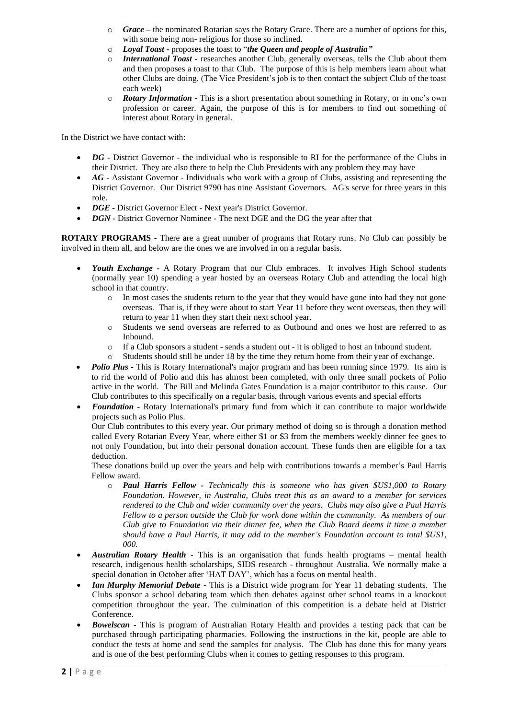- o *Grace –* the nominated Rotarian says the Rotary Grace. There are a number of options for this, with some being non- religious for those so inclined.
- o *Loyal Toast -* proposes the toast to "*the Queen and people of Australia"*
- o *International Toast -* researches another Club, generally overseas, tells the Club about them and then proposes a toast to that Club. The purpose of this is help members learn about what other Clubs are doing. (The Vice President's job is to then contact the subject Club of the toast each week)
- o *Rotary Information -* This is a short presentation about something in Rotary, or in one's own profession or career. Again, the purpose of this is for members to find out something of interest about Rotary in general.

In the District we have contact with:

- *DG* District Governor the individual who is responsible to RI for the performance of the Clubs in their District. They are also there to help the Club Presidents with any problem they may have
- *AG* Assistant Governor Individuals who work with a group of Clubs, assisting and representing the District Governor. Our District 9790 has nine Assistant Governors. AG's serve for three years in this role.
- *DGE -* District Governor Elect Next year's District Governor.
- *DGN -* District Governor Nominee The next DGE and the DG the year after that

**ROTARY PROGRAMS -** There are a great number of programs that Rotary runs. No Club can possibly be involved in them all, and below are the ones we are involved in on a regular basis.

- *Youth Exchange -* A Rotary Program that our Club embraces. It involves High School students (normally year 10) spending a year hosted by an overseas Rotary Club and attending the local high school in that country.
	- o In most cases the students return to the year that they would have gone into had they not gone overseas. That is, if they were about to start Year 11 before they went overseas, then they will return to year 11 when they start their next school year.
	- o Students we send overseas are referred to as Outbound and ones we host are referred to as Inbound.
	- o If a Club sponsors a student sends a student out it is obliged to host an Inbound student.
	- o Students should still be under 18 by the time they return home from their year of exchange.
- *Polio Plus -* This is Rotary International's major program and has been running since 1979. Its aim is to rid the world of Polio and this has almost been completed, with only three small pockets of Polio active in the world. The Bill and Melinda Gates Foundation is a major contributor to this cause. Our Club contributes to this specifically on a regular basis, through various events and special efforts
- *Foundation -* Rotary International's primary fund from which it can contribute to major worldwide projects such as Polio Plus.

Our Club contributes to this every year. Our primary method of doing so is through a donation method called Every Rotarian Every Year, where either \$1 or \$3 from the members weekly dinner fee goes to not only Foundation, but into their personal donation account. These funds then are eligible for a tax deduction.

These donations build up over the years and help with contributions towards a member's Paul Harris Fellow award.

- o *Paul Harris Fellow - Technically this is someone who has given \$US1,000 to Rotary Foundation. However, in Australia, Clubs treat this as an award to a member for services rendered to the Club and wider community over the years. Clubs may also give a Paul Harris Fellow to a person outside the Club for work done within the community. As members of our Club give to Foundation via their dinner fee, when the Club Board deems it time a member should have a Paul Harris, it may add to the member's Foundation account to total \$US1, 000.*
- *Australian Rotary Health -* This is an organisation that funds health programs mental health research, indigenous health scholarships, SIDS research - throughout Australia. We normally make a special donation in October after 'HAT DAY', which has a focus on mental health.
- *Ian Murphy Memorial Debate -* This is a District wide program for Year 11 debating students. The Clubs sponsor a school debating team which then debates against other school teams in a knockout competition throughout the year. The culmination of this competition is a debate held at District Conference.
- *Bowelscan -* This is program of Australian Rotary Health and provides a testing pack that can be purchased through participating pharmacies. Following the instructions in the kit, people are able to conduct the tests at home and send the samples for analysis. The Club has done this for many years and is one of the best performing Clubs when it comes to getting responses to this program.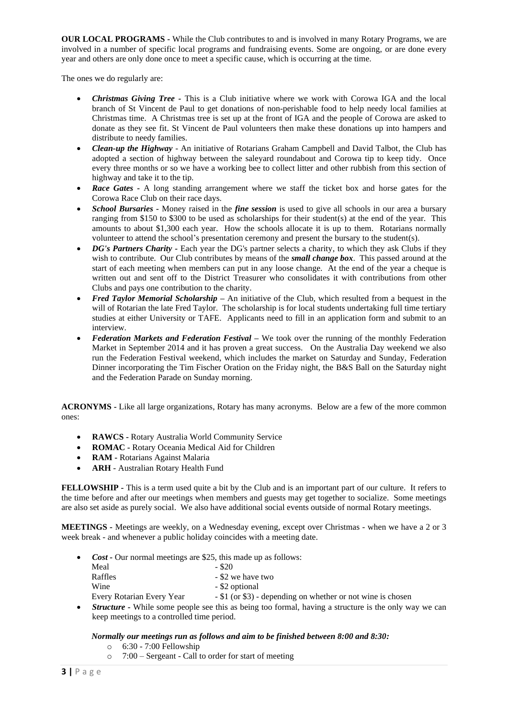**OUR LOCAL PROGRAMS -** While the Club contributes to and is involved in many Rotary Programs, we are involved in a number of specific local programs and fundraising events. Some are ongoing, or are done every year and others are only done once to meet a specific cause, which is occurring at the time.

The ones we do regularly are:

- *Christmas Giving Tree -* This is a Club initiative where we work with Corowa IGA and the local branch of St Vincent de Paul to get donations of non-perishable food to help needy local families at Christmas time. A Christmas tree is set up at the front of IGA and the people of Corowa are asked to donate as they see fit. St Vincent de Paul volunteers then make these donations up into hampers and distribute to needy families.
- *Clean-up the Highway -* An initiative of Rotarians Graham Campbell and David Talbot, the Club has adopted a section of highway between the saleyard roundabout and Corowa tip to keep tidy. Once every three months or so we have a working bee to collect litter and other rubbish from this section of highway and take it to the tip.
- **Race Gates -** A long standing arrangement where we staff the ticket box and horse gates for the Corowa Race Club on their race days.
- *School Bursaries -* Money raised in the *fine session* is used to give all schools in our area a bursary ranging from \$150 to \$300 to be used as scholarships for their student(s) at the end of the year. This amounts to about \$1,300 each year. How the schools allocate it is up to them. Rotarians normally volunteer to attend the school's presentation ceremony and present the bursary to the student(s).
- *DG's Partners Charity -* Each year the DG's partner selects a charity, to which they ask Clubs if they wish to contribute. Our Club contributes by means of the *small change box*. This passed around at the start of each meeting when members can put in any loose change. At the end of the year a cheque is written out and sent off to the District Treasurer who consolidates it with contributions from other Clubs and pays one contribution to the charity.
- *Fred Taylor Memorial Scholarship –* An initiative of the Club, which resulted from a bequest in the will of Rotarian the late Fred Taylor. The scholarship is for local students undertaking full time tertiary studies at either University or TAFE. Applicants need to fill in an application form and submit to an interview.
- *Federation Markets and Federation Festival –* We took over the running of the monthly Federation Market in September 2014 and it has proven a great success. On the Australia Day weekend we also run the Federation Festival weekend, which includes the market on Saturday and Sunday, Federation Dinner incorporating the Tim Fischer Oration on the Friday night, the B&S Ball on the Saturday night and the Federation Parade on Sunday morning.

**ACRONYMS -** Like all large organizations, Rotary has many acronyms. Below are a few of the more common ones:

- **RAWCS -** Rotary Australia World Community Service
- **ROMAC -** Rotary Oceania Medical Aid for Children
- **RAM -** Rotarians Against Malaria
- **ARH** Australian Rotary Health Fund

**FELLOWSHIP -** This is a term used quite a bit by the Club and is an important part of our culture. It refers to the time before and after our meetings when members and guests may get together to socialize. Some meetings are also set aside as purely social. We also have additional social events outside of normal Rotary meetings.

**MEETINGS -** Meetings are weekly, on a Wednesday evening, except over Christmas - when we have a 2 or 3 week break - and whenever a public holiday coincides with a meeting date.

- *Cost -* Our normal meetings are \$25, this made up as follows: Meal  $-$  \$20<br>Raffles  $-$  \$20 - \$2 we have two Wine  $-$  \$2 optional Every Rotarian Every Year - \$1 (or \$3) - depending on whether or not wine is chosen
- *Structure* While some people see this as being too formal, having a structure is the only way we can keep meetings to a controlled time period.

## *Normally our meetings run as follows and aim to be finished between 8:00 and 8:30:*

- o 6:30 7:00 Fellowship
- o 7:00 Sergeant Call to order for start of meeting